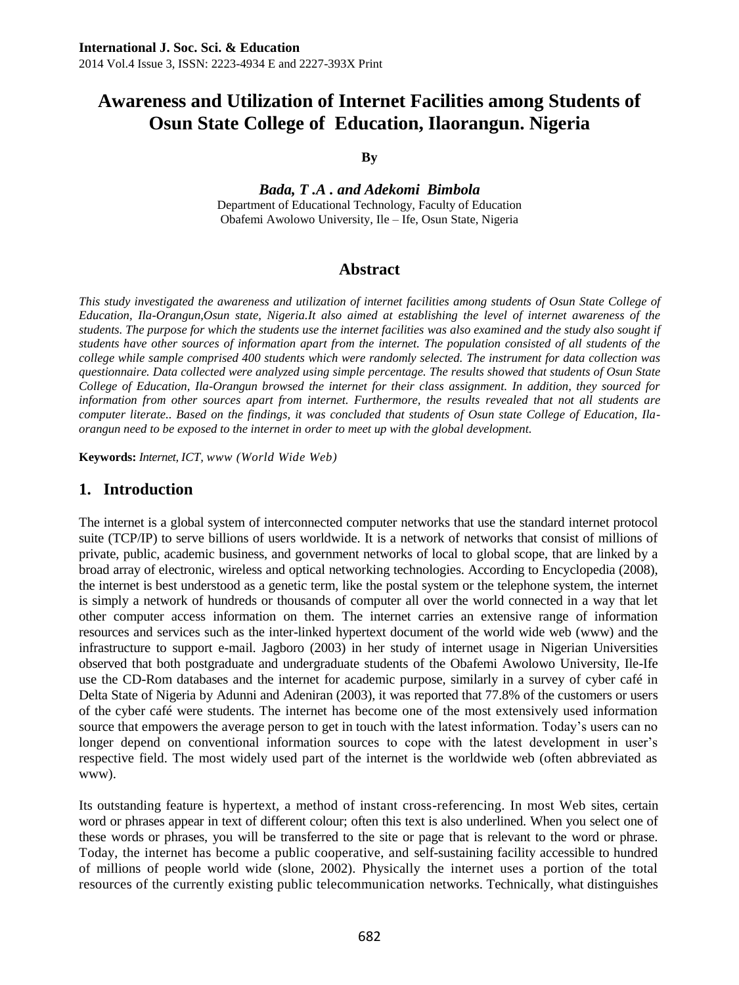**By**

*Bada, T .A . and Adekomi Bimbola* Department of Educational Technology, Faculty of Education Obafemi Awolowo University, Ile – Ife, Osun State, Nigeria

# **Abstract**

*This study investigated the awareness and utilization of internet facilities among students of Osun State College of Education, Ila-Orangun,Osun state, Nigeria.It also aimed at establishing the level of internet awareness of the students. The purpose for which the students use the internet facilities was also examined and the study also sought if students have other sources of information apart from the internet. The population consisted of all students of the college while sample comprised 400 students which were randomly selected. The instrument for data collection was questionnaire. Data collected were analyzed using simple percentage. The results showed that students of Osun State College of Education, Ila-Orangun browsed the internet for their class assignment. In addition, they sourced for information from other sources apart from internet. Furthermore, the results revealed that not all students are computer literate.. Based on the findings, it was concluded that students of Osun state College of Education, Ilaorangun need to be exposed to the internet in order to meet up with the global development.*

**Keywords:** *Internet, ICT, www (World Wide Web)*

# **1. Introduction**

The internet is a global system of interconnected computer networks that use the standard internet protocol suite (TCP/IP) to serve billions of users worldwide. It is a network of networks that consist of millions of private, public, academic business, and government networks of local to global scope, that are linked by a broad array of electronic, wireless and optical networking technologies. According to Encyclopedia (2008), the internet is best understood as a genetic term, like the postal system or the telephone system, the internet is simply a network of hundreds or thousands of computer all over the world connected in a way that let other computer access information on them. The internet carries an extensive range of information resources and services such as the inter-linked hypertext document of the world wide web (www) and the infrastructure to support e-mail. Jagboro (2003) in her study of internet usage in Nigerian Universities observed that both postgraduate and undergraduate students of the Obafemi Awolowo University, Ile-Ife use the CD-Rom databases and the internet for academic purpose, similarly in a survey of cyber café in Delta State of Nigeria by Adunni and Adeniran (2003), it was reported that 77.8% of the customers or users of the cyber café were students. The internet has become one of the most extensively used information source that empowers the average person to get in touch with the latest information. Today's users can no longer depend on conventional information sources to cope with the latest development in user's respective field. The most widely used part of the internet is the worldwide web (often abbreviated as www).

Its outstanding feature is hypertext, a method of instant cross-referencing. In most Web sites, certain word or phrases appear in text of different colour; often this text is also underlined. When you select one of these words or phrases, you will be transferred to the site or page that is relevant to the word or phrase. Today, the internet has become a public cooperative, and self-sustaining facility accessible to hundred of millions of people world wide (slone, 2002). Physically the internet uses a portion of the total resources of the currently existing public telecommunication networks. Technically, what distinguishes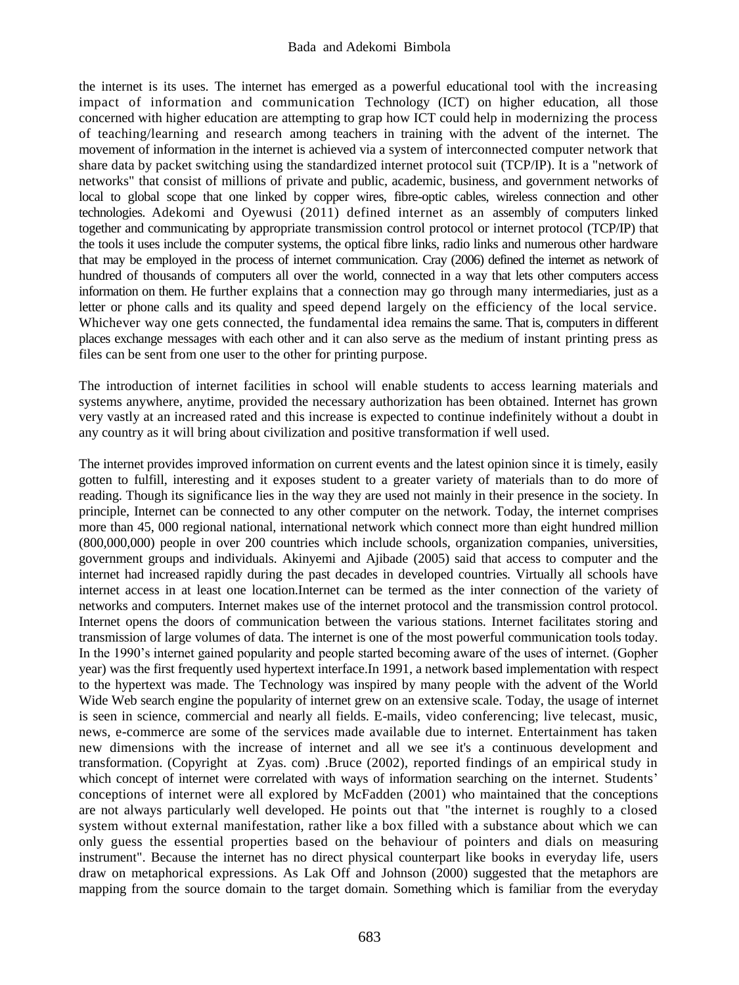the internet is its uses. The internet has emerged as a powerful educational tool with the increasing impact of information and communication Technology (ICT) on higher education, all those concerned with higher education are attempting to grap how ICT could help in modernizing the process of teaching/learning and research among teachers in training with the advent of the internet. The movement of information in the internet is achieved via a system of interconnected computer network that share data by packet switching using the standardized internet protocol suit (TCP/IP). It is a "network of networks" that consist of millions of private and public, academic, business, and government networks of local to global scope that one linked by copper wires, fibre-optic cables, wireless connection and other technologies. Adekomi and Oyewusi (2011) defined internet as an assembly of computers linked together and communicating by appropriate transmission control protocol or internet protocol (TCP/IP) that the tools it uses include the computer systems, the optical fibre links, radio links and numerous other hardware that may be employed in the process of internet communication. Cray (2006) defined the internet as network of hundred of thousands of computers all over the world, connected in a way that lets other computers access information on them. He further explains that a connection may go through many intermediaries, just as a letter or phone calls and its quality and speed depend largely on the efficiency of the local service. Whichever way one gets connected, the fundamental idea remains the same. That is, computers in different places exchange messages with each other and it can also serve as the medium of instant printing press as files can be sent from one user to the other for printing purpose.

The introduction of internet facilities in school will enable students to access learning materials and systems anywhere, anytime, provided the necessary authorization has been obtained. Internet has grown very vastly at an increased rated and this increase is expected to continue indefinitely without a doubt in any country as it will bring about civilization and positive transformation if well used.

The internet provides improved information on current events and the latest opinion since it is timely, easily gotten to fulfill, interesting and it exposes student to a greater variety of materials than to do more of reading. Though its significance lies in the way they are used not mainly in their presence in the society. In principle, Internet can be connected to any other computer on the network. Today, the internet comprises more than 45, 000 regional national, international network which connect more than eight hundred million (800,000,000) people in over 200 countries which include schools, organization companies, universities, government groups and individuals. Akinyemi and Ajibade (2005) said that access to computer and the internet had increased rapidly during the past decades in developed countries. Virtually all schools have internet access in at least one location.Internet can be termed as the inter connection of the variety of networks and computers. Internet makes use of the internet protocol and the transmission control protocol. Internet opens the doors of communication between the various stations. Internet facilitates storing and transmission of large volumes of data. The internet is one of the most powerful communication tools today. In the 1990's internet gained popularity and people started becoming aware of the uses of internet. (Gopher year) was the first frequently used hypertext interface.In 1991, a network based implementation with respect to the hypertext was made. The Technology was inspired by many people with the advent of the World Wide Web search engine the popularity of internet grew on an extensive scale. Today, the usage of internet is seen in science, commercial and nearly all fields. E-mails, video conferencing; live telecast, music, news, e-commerce are some of the services made available due to internet. Entertainment has taken new dimensions with the increase of internet and all we see it's a continuous development and transformation. (Copyright at Zyas. com) .Bruce (2002), reported findings of an empirical study in which concept of internet were correlated with ways of information searching on the internet. Students' conceptions of internet were all explored by McFadden (2001) who maintained that the conceptions are not always particularly well developed. He points out that "the internet is roughly to a closed system without external manifestation, rather like a box filled with a substance about which we can only guess the essential properties based on the behaviour of pointers and dials on measuring instrument". Because the internet has no direct physical counterpart like books in everyday life, users draw on metaphorical expressions. As Lak Off and Johnson (2000) suggested that the metaphors are mapping from the source domain to the target domain. Something which is familiar from the everyday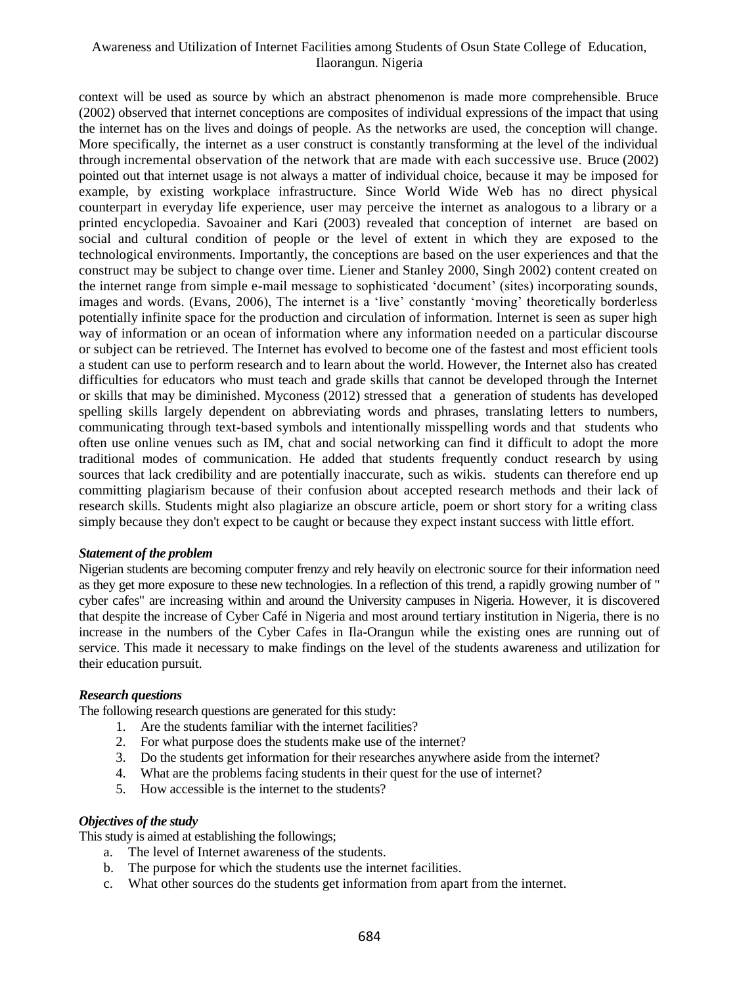context will be used as source by which an abstract phenomenon is made more comprehensible. Bruce (2002) observed that internet conceptions are composites of individual expressions of the impact that using the internet has on the lives and doings of people. As the networks are used, the conception will change. More specifically, the internet as a user construct is constantly transforming at the level of the individual through incremental observation of the network that are made with each successive use. Bruce (2002) pointed out that internet usage is not always a matter of individual choice, because it may be imposed for example, by existing workplace infrastructure. Since World Wide Web has no direct physical counterpart in everyday life experience, user may perceive the internet as analogous to a library or a printed encyclopedia. Savoainer and Kari (2003) revealed that conception of internet are based on social and cultural condition of people or the level of extent in which they are exposed to the technological environments. Importantly, the conceptions are based on the user experiences and that the construct may be subject to change over time. Liener and Stanley 2000, Singh 2002) content created on the internet range from simple e-mail message to sophisticated 'document' (sites) incorporating sounds, images and words. (Evans, 2006), The internet is a 'live' constantly 'moving' theoretically borderless potentially infinite space for the production and circulation of information. Internet is seen as super high way of information or an ocean of information where any information needed on a particular discourse or subject can be retrieved. The Internet has evolved to become one of the fastest and most efficient tools a student can use to perform research and to learn about the world. However, the Internet also has created difficulties for educators who must teach and grade skills that cannot be developed through the Internet or skills that may be diminished. Myconess (2012) stressed that a generation of students has developed spelling skills largely dependent on abbreviating words and phrases, translating letters to numbers, communicating through text-based symbols and intentionally misspelling words and that students who often use online venues such as IM, chat and social networking can find it difficult to adopt the more traditional modes of communication. He added that students frequently conduct research by using sources that lack credibility and are potentially inaccurate, such as wikis. students can therefore end up committing plagiarism because of their confusion about accepted research methods and their lack of research skills. Students might also plagiarize an obscure article, poem or short story for a writing class simply because they don't expect to be caught or because they expect instant success with little effort.

#### *Statement of the problem*

Nigerian students are becoming computer frenzy and rely heavily on electronic source for their information need as they get more exposure to these new technologies. In a reflection of this trend, a rapidly growing number of " cyber cafes" are increasing within and around the University campuses in Nigeria. However, it is discovered that despite the increase of Cyber Café in Nigeria and most around tertiary institution in Nigeria, there is no increase in the numbers of the Cyber Cafes in Ila-Orangun while the existing ones are running out of service. This made it necessary to make findings on the level of the students awareness and utilization for their education pursuit.

#### *Research questions*

The following research questions are generated for this study:

- 1. Are the students familiar with the internet facilities?
- 2. For what purpose does the students make use of the internet?
- 3. Do the students get information for their researches anywhere aside from the internet?
- 4. What are the problems facing students in their quest for the use of internet?
- 5. How accessible is the internet to the students?

#### *Objectives of the study*

This study is aimed at establishing the followings;

- a. The level of Internet awareness of the students.
- b. The purpose for which the students use the internet facilities.
- c. What other sources do the students get information from apart from the internet.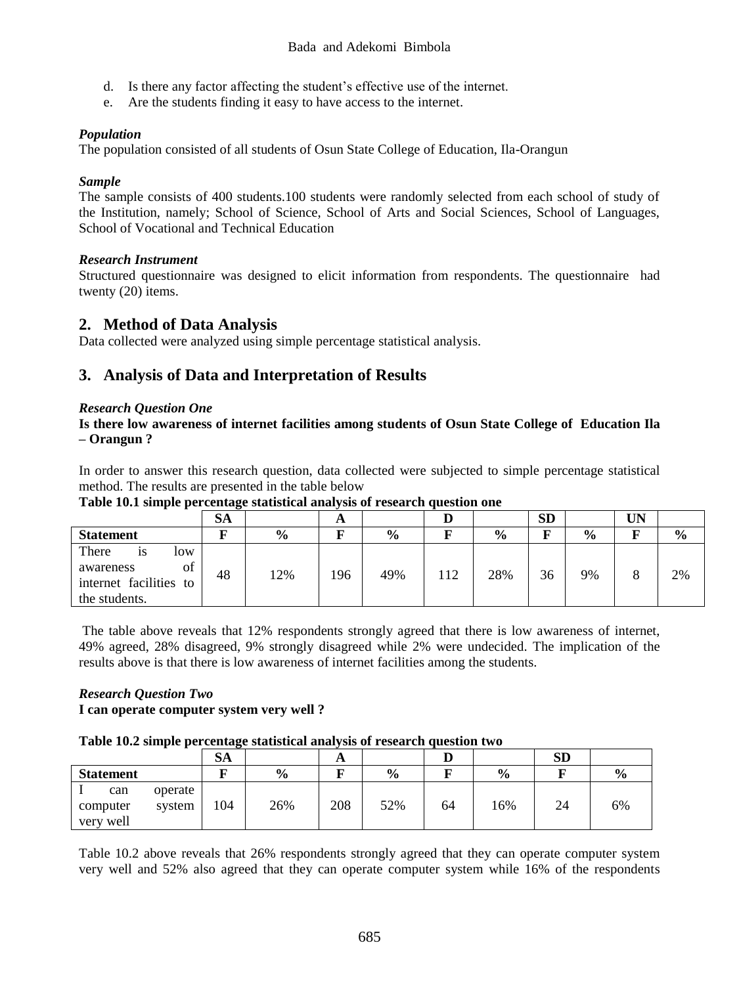- d. Is there any factor affecting the student's effective use of the internet.
- e. Are the students finding it easy to have access to the internet.

# *Population*

The population consisted of all students of Osun State College of Education, Ila-Orangun

# *Sample*

The sample consists of 400 students.100 students were randomly selected from each school of study of the Institution, namely; School of Science, School of Arts and Social Sciences, School of Languages, School of Vocational and Technical Education

# *Research Instrument*

Structured questionnaire was designed to elicit information from respondents. The questionnaire had twenty (20) items.

# **2. Method of Data Analysis**

Data collected were analyzed using simple percentage statistical analysis.

# **3. Analysis of Data and Interpretation of Results**

# *Research Question One*

# **Is there low awareness of internet facilities among students of Osun State College of Education Ila – Orangun ?**

In order to answer this research question, data collected were subjected to simple percentage statistical method. The results are presented in the table below

**Table 10.1 simple percentage statistical analysis of research question one**

|                                                                                  | <b>SA</b> |               | A   |               |     |               | <b>SD</b> |               | UN |               |
|----------------------------------------------------------------------------------|-----------|---------------|-----|---------------|-----|---------------|-----------|---------------|----|---------------|
| <b>Statement</b>                                                                 |           | $\frac{0}{0}$ |     | $\frac{6}{9}$ |     | $\frac{0}{0}$ | г         | $\frac{6}{9}$ |    | $\frac{6}{6}$ |
| There<br>low<br>1S<br>of<br>awareness<br>internet facilities to<br>the students. | 48        | 12%           | 196 | 49%           | 112 | 28%           | 36        | 9%            |    | 2%            |

The table above reveals that 12% respondents strongly agreed that there is low awareness of internet, 49% agreed, 28% disagreed, 9% strongly disagreed while 2% were undecided. The implication of the results above is that there is low awareness of internet facilities among the students.

#### *Research Question Two* **I can operate computer system very well ?**

### **Table 10.2 simple percentage statistical analysis of research question two**

|                  |         | SA  |               | A   |               |    |               | $_{\rm SD}$ |               |
|------------------|---------|-----|---------------|-----|---------------|----|---------------|-------------|---------------|
| <b>Statement</b> |         |     | $\frac{6}{9}$ |     | $\frac{6}{9}$ |    | $\frac{0}{0}$ |             | $\frac{0}{0}$ |
| can              | operate |     |               |     |               |    |               |             |               |
| computer         | system  | 104 | 26%           | 208 | 52%           | 64 | 16%           | 24          | 6%            |
| very well        |         |     |               |     |               |    |               |             |               |

Table 10.2 above reveals that 26% respondents strongly agreed that they can operate computer system very well and 52% also agreed that they can operate computer system while 16% of the respondents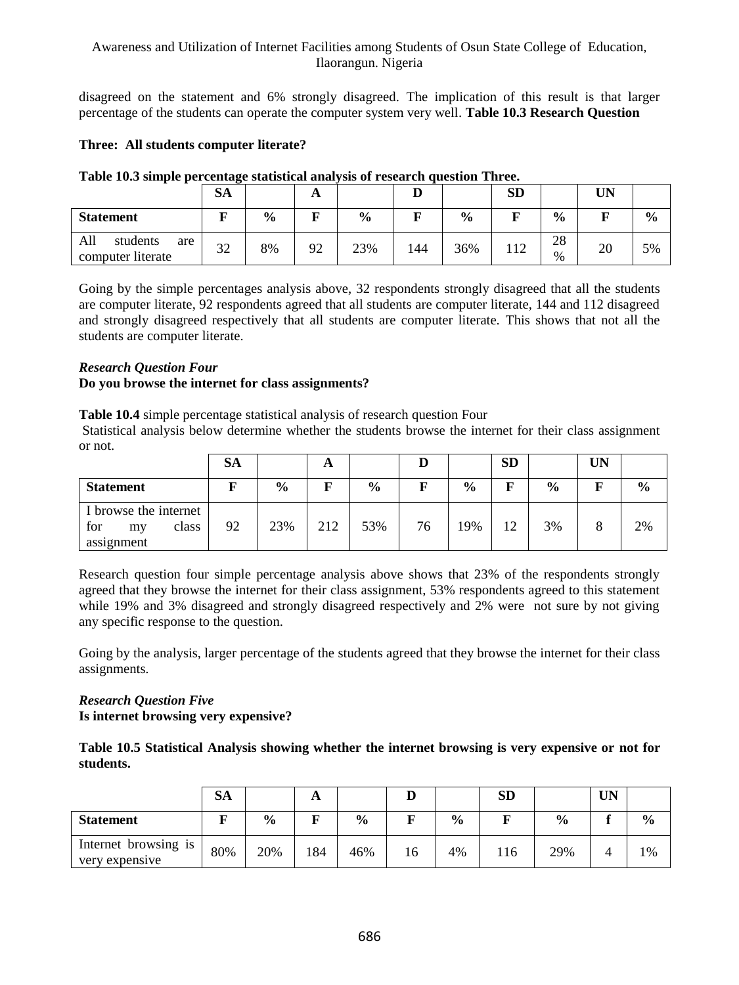disagreed on the statement and 6% strongly disagreed. The implication of this result is that larger percentage of the students can operate the computer system very well. **Table 10.3 Research Question** 

# **Three: All students computer literate?**

|                                             | SA        |               | A  |               | IJ  |               | <b>SD</b> |               | UN |               |
|---------------------------------------------|-----------|---------------|----|---------------|-----|---------------|-----------|---------------|----|---------------|
| <b>Statement</b>                            |           | $\frac{6}{6}$ | г  | $\frac{6}{6}$ |     | $\frac{0}{0}$ |           | $\frac{6}{6}$ |    | $\frac{0}{0}$ |
| All<br>students<br>are<br>computer literate | 22<br>ے ر | 8%            | 92 | 23%           | 144 | 36%           | 112       | 28<br>$\%$    | 20 | 5%            |

## **Table 10.3 simple percentage statistical analysis of research question Three.**

Going by the simple percentages analysis above, 32 respondents strongly disagreed that all the students are computer literate, 92 respondents agreed that all students are computer literate, 144 and 112 disagreed and strongly disagreed respectively that all students are computer literate. This shows that not all the students are computer literate.

# *Research Question Four*

# **Do you browse the internet for class assignments?**

**Table 10.4** simple percentage statistical analysis of research question Four

Statistical analysis below determine whether the students browse the internet for their class assignment or not.

|                                                           | SА |               | A   |               |    |               | <b>SD</b> |               | UN           |               |
|-----------------------------------------------------------|----|---------------|-----|---------------|----|---------------|-----------|---------------|--------------|---------------|
| <b>Statement</b>                                          |    | $\frac{0}{0}$ | F   | $\frac{6}{6}$ | F  | $\frac{0}{0}$ | F         | $\frac{0}{0}$ | F            | $\frac{0}{0}$ |
| I browse the internet<br>for<br>class<br>my<br>assignment | 92 | 23%           | 212 | 53%           | 76 | 19%           | 12        | 3%            | $\circ$<br>δ | 2%            |

Research question four simple percentage analysis above shows that 23% of the respondents strongly agreed that they browse the internet for their class assignment, 53% respondents agreed to this statement while 19% and 3% disagreed and strongly disagreed respectively and 2% were not sure by not giving any specific response to the question.

Going by the analysis, larger percentage of the students agreed that they browse the internet for their class assignments.

# *Research Question Five* **Is internet browsing very expensive?**

**Table 10.5 Statistical Analysis showing whether the internet browsing is very expensive or not for students.**

|                                        | <b>SA</b> |               | A   |               | IJ |               | <b>SD</b> |               | UN |               |
|----------------------------------------|-----------|---------------|-----|---------------|----|---------------|-----------|---------------|----|---------------|
| <b>Statement</b>                       |           | $\frac{0}{0}$ | ю   | $\frac{0}{0}$ |    | $\frac{0}{0}$ |           | $\frac{0}{0}$ |    | $\frac{6}{6}$ |
| Internet browsing is<br>very expensive | 80%       | 20%           | 184 | 46%           | 16 | 4%            | 16        | 29%           |    | 1%            |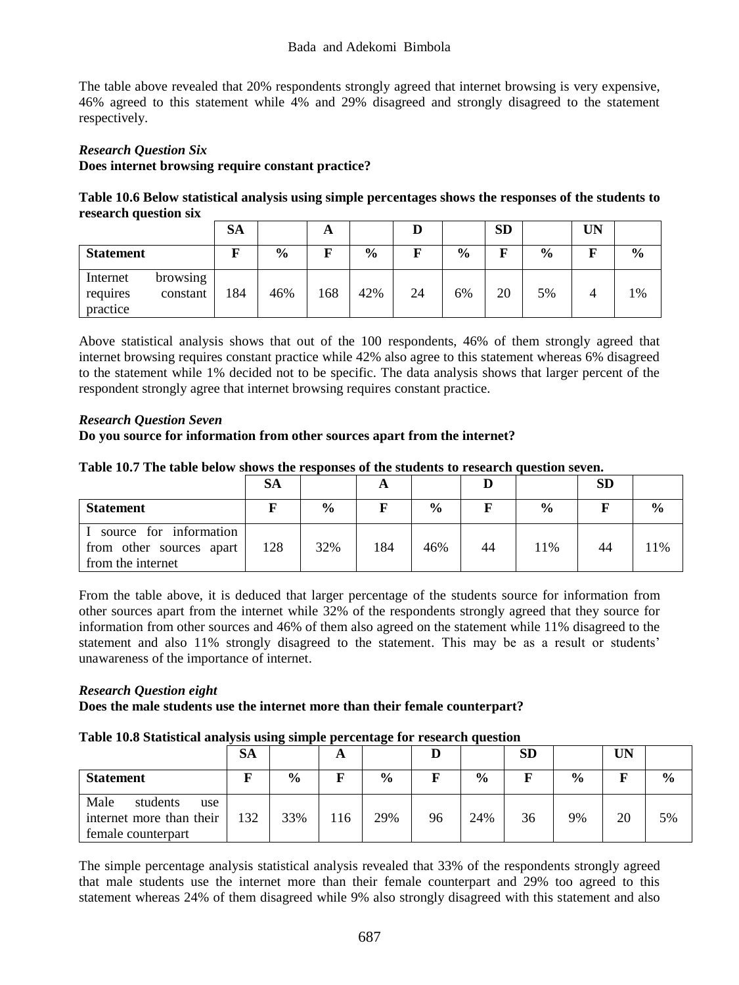#### Bada and Adekomi Bimbola

The table above revealed that 20% respondents strongly agreed that internet browsing is very expensive, 46% agreed to this statement while 4% and 29% disagreed and strongly disagreed to the statement respectively.

# *Research Question Six* **Does internet browsing require constant practice?**

**Table 10.6 Below statistical analysis using simple percentages shows the responses of the students to research question six**

|                                                          | SА  |               | A   |               |    |               | <b>SD</b> |               | UN |               |
|----------------------------------------------------------|-----|---------------|-----|---------------|----|---------------|-----------|---------------|----|---------------|
| <b>Statement</b>                                         | F   | $\frac{6}{9}$ | F   | $\frac{6}{9}$ | ю  | $\frac{0}{0}$ | F         | $\frac{6}{9}$ | п  | $\frac{0}{0}$ |
| Internet<br>browsing<br>constant<br>requires<br>practice | 184 | 46%           | 168 | 42%           | 24 | 6%            | 20        | 5%            | 4  | 1%            |

Above statistical analysis shows that out of the 100 respondents, 46% of them strongly agreed that internet browsing requires constant practice while 42% also agree to this statement whereas 6% disagreed to the statement while 1% decided not to be specific. The data analysis shows that larger percent of the respondent strongly agree that internet browsing requires constant practice.

# *Research Question Seven*

### **Do you source for information from other sources apart from the internet?**

|  |  |  | Table 10.7 The table below shows the responses of the students to research question seven. |
|--|--|--|--------------------------------------------------------------------------------------------|
|  |  |  |                                                                                            |

|                                                                         | <b>SA</b> |               |     |               |    |               | <b>SD</b> |               |
|-------------------------------------------------------------------------|-----------|---------------|-----|---------------|----|---------------|-----------|---------------|
| <b>Statement</b>                                                        |           | $\frac{6}{6}$ |     | $\frac{0}{0}$ |    | $\frac{0}{0}$ |           | $\frac{0}{0}$ |
| source for information<br>from other sources apart<br>from the internet | 128       | 32%           | 184 | 46%           | 44 | 11%           | 44        | 1%            |

From the table above, it is deduced that larger percentage of the students source for information from other sources apart from the internet while 32% of the respondents strongly agreed that they source for information from other sources and 46% of them also agreed on the statement while 11% disagreed to the statement and also 11% strongly disagreed to the statement. This may be as a result or students' unawareness of the importance of internet.

### *Research Question eight*

### **Does the male students use the internet more than their female counterpart?**

#### **Table 10.8 Statistical analysis using simple percentage for research question**

|                                                                           | SА  |               |     |               |    |               | <b>SD</b> |               | UN |               |
|---------------------------------------------------------------------------|-----|---------------|-----|---------------|----|---------------|-----------|---------------|----|---------------|
| <b>Statement</b>                                                          |     | $\frac{0}{0}$ |     | $\frac{6}{9}$ |    | $\frac{0}{0}$ |           | $\frac{0}{0}$ |    | $\frac{0}{0}$ |
| Male<br>students<br>use<br>internet more than their<br>female counterpart | 132 | 33%           | 116 | 29%           | 96 | 24%           | 36        | 9%            | 20 | 5%            |

The simple percentage analysis statistical analysis revealed that 33% of the respondents strongly agreed that male students use the internet more than their female counterpart and 29% too agreed to this statement whereas 24% of them disagreed while 9% also strongly disagreed with this statement and also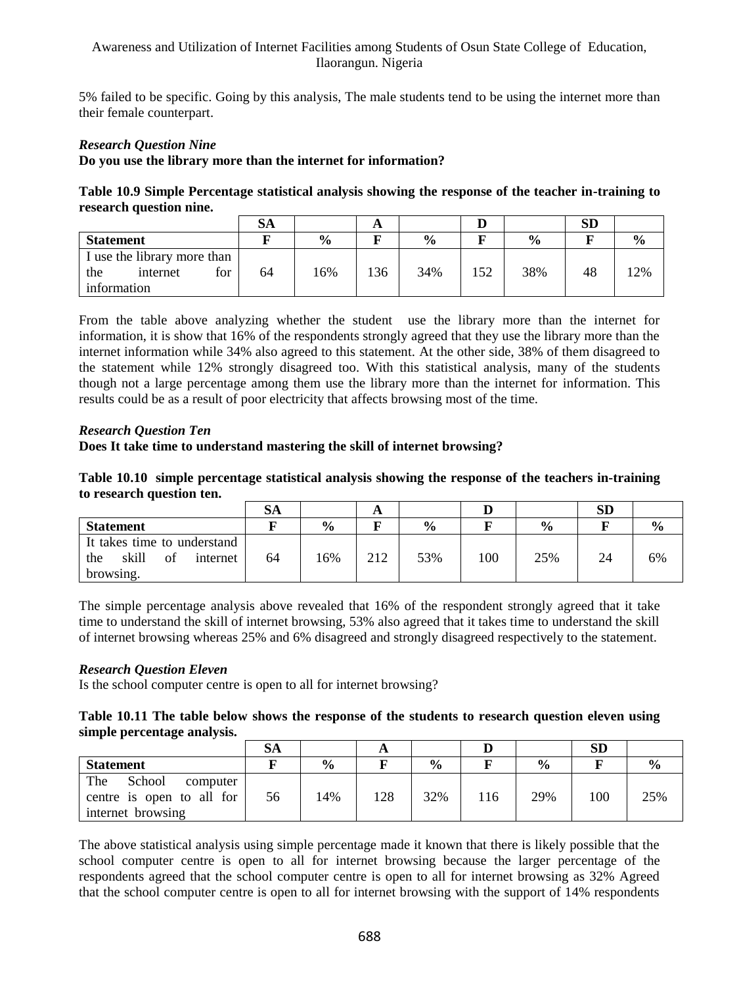5% failed to be specific. Going by this analysis, The male students tend to be using the internet more than their female counterpart.

# *Research Question Nine*

## **Do you use the library more than the internet for information?**

**Table 10.9 Simple Percentage statistical analysis showing the response of the teacher in-training to research question nine.**

|                             | SА |               | A   |               |     |               | <b>SD</b> |               |
|-----------------------------|----|---------------|-----|---------------|-----|---------------|-----------|---------------|
| <b>Statement</b>            |    | $\frac{0}{0}$ |     | $\frac{0}{0}$ |     | $\frac{0}{0}$ |           | $\frac{6}{9}$ |
| I use the library more than |    |               |     |               |     |               |           |               |
| for<br>the<br>internet      | 64 | 16%           | 136 | 34%           | 152 | 38%           | 48        | 2%            |
| information                 |    |               |     |               |     |               |           |               |

From the table above analyzing whether the student use the library more than the internet for information, it is show that 16% of the respondents strongly agreed that they use the library more than the internet information while 34% also agreed to this statement. At the other side, 38% of them disagreed to the statement while 12% strongly disagreed too. With this statistical analysis, many of the students though not a large percentage among them use the library more than the internet for information. This results could be as a result of poor electricity that affects browsing most of the time.

### *Research Question Ten*

# **Does It take time to understand mastering the skill of internet browsing?**

**Table 10.10 simple percentage statistical analysis showing the response of the teachers in-training to research question ten.**

|                                                                            | SА |               | A   |               |     |               | SD |               |
|----------------------------------------------------------------------------|----|---------------|-----|---------------|-----|---------------|----|---------------|
| <b>Statement</b>                                                           |    | $\frac{6}{9}$ |     | $\frac{0}{0}$ |     | $\frac{0}{0}$ |    | $\frac{0}{0}$ |
| It takes time to understand<br>skill<br>of<br>the<br>internet<br>browsing. | 64 | 16%           | 212 | 53%           | 100 | 25%           | 24 | 6%            |

The simple percentage analysis above revealed that 16% of the respondent strongly agreed that it take time to understand the skill of internet browsing, 53% also agreed that it takes time to understand the skill of internet browsing whereas 25% and 6% disagreed and strongly disagreed respectively to the statement.

### *Research Question Eleven*

Is the school computer centre is open to all for internet browsing?

### **Table 10.11 The table below shows the response of the students to research question eleven using simple percentage analysis.**

|                                                                             | SА |               | A   |               |     |               | SD  |               |
|-----------------------------------------------------------------------------|----|---------------|-----|---------------|-----|---------------|-----|---------------|
| <b>Statement</b>                                                            |    | $\frac{6}{6}$ |     | $\frac{0}{0}$ |     | $\frac{0}{0}$ |     | $\frac{6}{9}$ |
| The<br>School<br>computer<br>centre is open to all for<br>internet browsing | 56 | 14%           | 128 | 32%           | 116 | 29%           | 100 | 25%           |

The above statistical analysis using simple percentage made it known that there is likely possible that the school computer centre is open to all for internet browsing because the larger percentage of the respondents agreed that the school computer centre is open to all for internet browsing as 32% Agreed that the school computer centre is open to all for internet browsing with the support of 14% respondents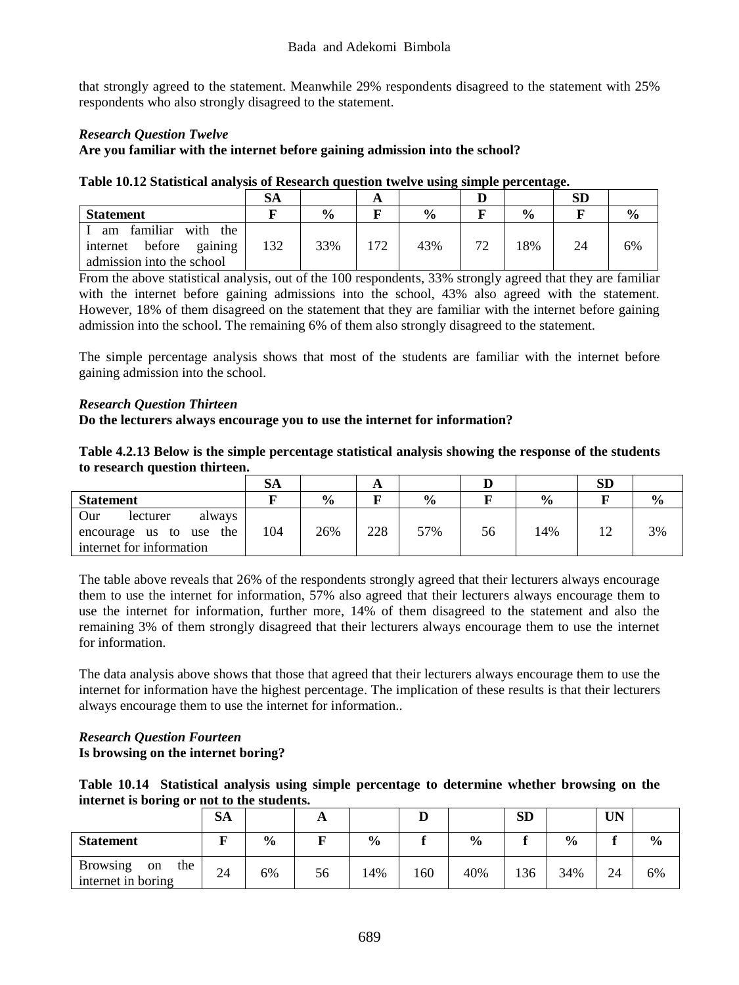that strongly agreed to the statement. Meanwhile 29% respondents disagreed to the statement with 25% respondents who also strongly disagreed to the statement.

# *Research Question Twelve*

## **Are you familiar with the internet before gaining admission into the school?**

|                                                       | SА  |               | А  |               |    |               | <b>SD</b> |    |
|-------------------------------------------------------|-----|---------------|----|---------------|----|---------------|-----------|----|
| <b>Statement</b>                                      |     | $\frac{0}{0}$ |    | $\frac{0}{0}$ |    | $\frac{0}{0}$ |           |    |
| familiar with the<br>am<br>before gaining<br>internet | 132 | 33%           | 72 | 43%           | 72 | 18%           | 24        | 6% |
| admission into the school                             |     |               |    |               |    |               |           |    |

#### **Table 10.12 Statistical analysis of Research question twelve using simple percentage.**

From the above statistical analysis, out of the 100 respondents, 33% strongly agreed that they are familiar with the internet before gaining admissions into the school, 43% also agreed with the statement. However, 18% of them disagreed on the statement that they are familiar with the internet before gaining admission into the school. The remaining 6% of them also strongly disagreed to the statement.

The simple percentage analysis shows that most of the students are familiar with the internet before gaining admission into the school.

### *Research Question Thirteen*

**Do the lecturers always encourage you to use the internet for information?**

**Table 4.2.13 Below is the simple percentage statistical analysis showing the response of the students to research question thirteen.**

|                            | SА  |               |     |               |    |               | ${\bf SD}$ |               |
|----------------------------|-----|---------------|-----|---------------|----|---------------|------------|---------------|
| <b>Statement</b>           |     | $\frac{6}{6}$ |     | $\frac{0}{0}$ |    | $\frac{6}{9}$ |            | $\frac{6}{9}$ |
| Our<br>lecturer<br>always  |     |               |     |               |    |               |            |               |
| the<br>encourage us to use | 104 | 26%           | 228 | 57%           | 56 | 14%           |            | 3%            |
| internet for information   |     |               |     |               |    |               |            |               |

The table above reveals that 26% of the respondents strongly agreed that their lecturers always encourage them to use the internet for information, 57% also agreed that their lecturers always encourage them to use the internet for information, further more, 14% of them disagreed to the statement and also the remaining 3% of them strongly disagreed that their lecturers always encourage them to use the internet for information.

The data analysis above shows that those that agreed that their lecturers always encourage them to use the internet for information have the highest percentage. The implication of these results is that their lecturers always encourage them to use the internet for information..

# *Research Question Fourteen* **Is browsing on the internet boring?**

|                                            |  |  | Table 10.14 Statistical analysis using simple percentage to determine whether browsing on the |  |  |  |
|--------------------------------------------|--|--|-----------------------------------------------------------------------------------------------|--|--|--|
| internet is boring or not to the students. |  |  |                                                                                               |  |  |  |

|                                                    | SА |               | A  |               |     |               | <b>SD</b> |               | <b>UN</b> |               |
|----------------------------------------------------|----|---------------|----|---------------|-----|---------------|-----------|---------------|-----------|---------------|
| <b>Statement</b>                                   | ш  | $\frac{6}{9}$ |    | $\frac{6}{9}$ |     | $\frac{6}{9}$ |           | $\frac{0}{0}$ |           | $\frac{0}{0}$ |
| <b>Browsing</b><br>the<br>on<br>internet in boring | 24 | 6%            | 56 | 14%           | .60 | 40%           | 136       | 34%           | 24        | 6%            |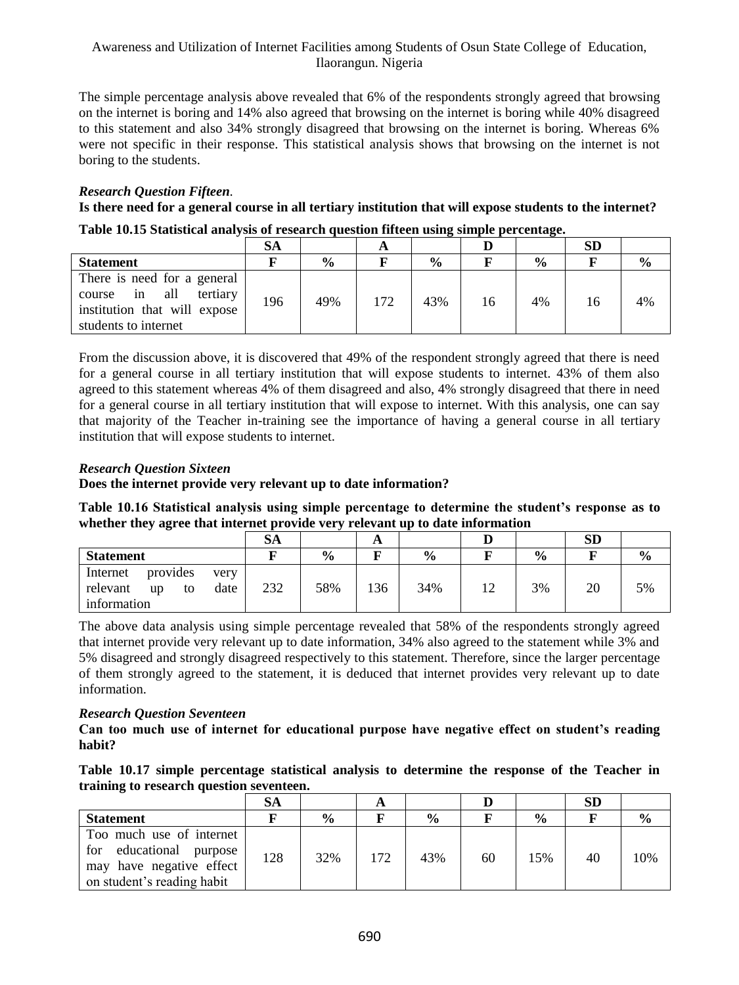The simple percentage analysis above revealed that 6% of the respondents strongly agreed that browsing on the internet is boring and 14% also agreed that browsing on the internet is boring while 40% disagreed to this statement and also 34% strongly disagreed that browsing on the internet is boring. Whereas 6% were not specific in their response. This statistical analysis shows that browsing on the internet is not boring to the students.

# *Research Question Fifteen.*

**Is there need for a general course in all tertiary institution that will expose students to the internet? Table 10.15 Statistical analysis of research question fifteen using simple percentage.**

|                                                                                                                     | SА  |               | A   |               |    |               | SD |               |
|---------------------------------------------------------------------------------------------------------------------|-----|---------------|-----|---------------|----|---------------|----|---------------|
| <b>Statement</b>                                                                                                    |     | $\frac{0}{0}$ |     | $\frac{0}{0}$ |    | $\frac{0}{0}$ |    | $\frac{6}{9}$ |
| There is need for a general<br>in all<br>tertiary<br>course<br>institution that will expose<br>students to internet | 196 | 49%           | 172 | 43%           | 16 | 4%            | 16 | 4%            |

From the discussion above, it is discovered that 49% of the respondent strongly agreed that there is need for a general course in all tertiary institution that will expose students to internet. 43% of them also agreed to this statement whereas 4% of them disagreed and also, 4% strongly disagreed that there in need for a general course in all tertiary institution that will expose to internet. With this analysis, one can say that majority of the Teacher in-training see the importance of having a general course in all tertiary institution that will expose students to internet.

# *Research Question Sixteen*

### **Does the internet provide very relevant up to date information?**

**Table 10.16 Statistical analysis using simple percentage to determine the student's response as to whether they agree that internet provide very relevant up to date information**

|                                                                             | SА  |               | A   |               |    |               | <b>SD</b> |               |
|-----------------------------------------------------------------------------|-----|---------------|-----|---------------|----|---------------|-----------|---------------|
| <b>Statement</b>                                                            |     | $\frac{0}{0}$ |     | $\frac{6}{9}$ |    | $\frac{0}{0}$ |           | $\frac{6}{9}$ |
| provides<br>Internet<br>very<br>relevant<br>date<br>up<br>to<br>information | 232 | 58%           | 136 | 34%           | 12 | 3%            | 20        | 5%            |

The above data analysis using simple percentage revealed that 58% of the respondents strongly agreed that internet provide very relevant up to date information, 34% also agreed to the statement while 3% and 5% disagreed and strongly disagreed respectively to this statement. Therefore, since the larger percentage of them strongly agreed to the statement, it is deduced that internet provides very relevant up to date information.

### *Research Question Seventeen*

**Can too much use of internet for educational purpose have negative effect on student's reading habit?**

| Table 10.17 simple percentage statistical analysis to determine the response of the Teacher in |  |  |  |  |  |
|------------------------------------------------------------------------------------------------|--|--|--|--|--|
| training to research question seventeen.                                                       |  |  |  |  |  |

|                                                                                                                  | SА  |               | А   |               |    |               | <b>SD</b> |               |
|------------------------------------------------------------------------------------------------------------------|-----|---------------|-----|---------------|----|---------------|-----------|---------------|
| <b>Statement</b>                                                                                                 |     | $\frac{0}{0}$ |     | $\frac{0}{0}$ |    | $\frac{0}{0}$ |           | $\frac{6}{9}$ |
| Too much use of internet<br>educational purpose<br>for<br>may have negative effect<br>on student's reading habit | 128 | 32%           | 172 | 43%           | 60 | 15%           | 40        | 0%            |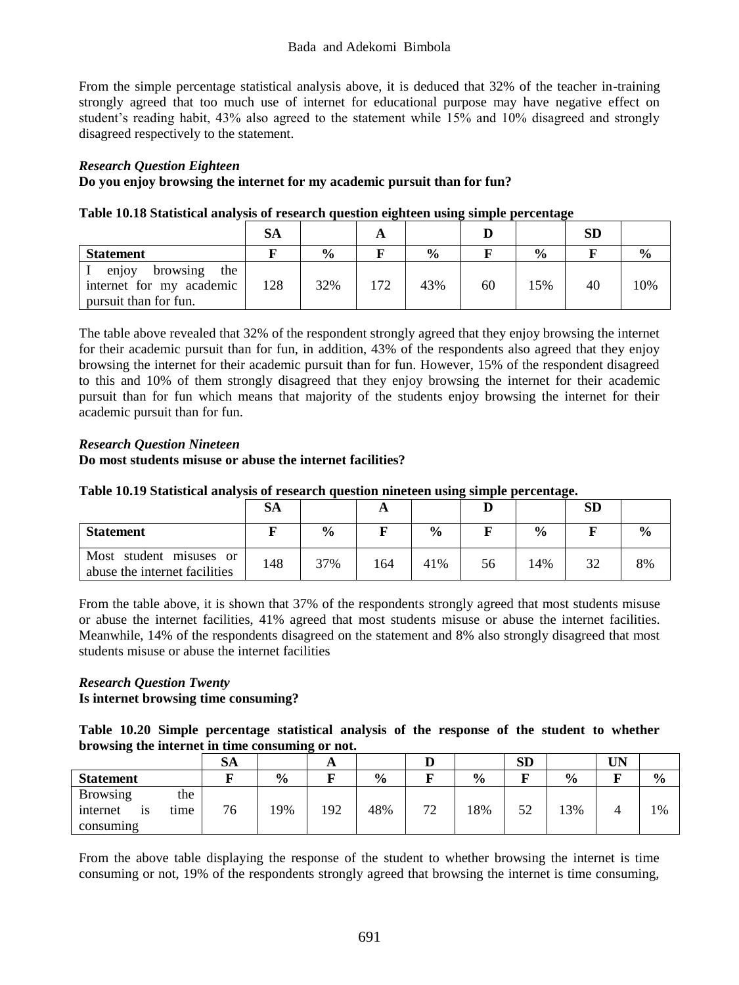From the simple percentage statistical analysis above, it is deduced that 32% of the teacher in-training strongly agreed that too much use of internet for educational purpose may have negative effect on student's reading habit, 43% also agreed to the statement while 15% and 10% disagreed and strongly disagreed respectively to the statement.

# *Research Question Eighteen*

# **Do you enjoy browsing the internet for my academic pursuit than for fun?**

|                                                                               | SА  |               | A   |               |    |               | <b>SD</b> |               |
|-------------------------------------------------------------------------------|-----|---------------|-----|---------------|----|---------------|-----------|---------------|
| <b>Statement</b>                                                              |     | $\frac{0}{0}$ |     | $\frac{0}{0}$ |    | $\frac{0}{0}$ |           | $\frac{0}{0}$ |
| browsing<br>the<br>enjoy<br>internet for my academic<br>pursuit than for fun. | 128 | 32%           | 172 | 43%           | 60 | 15%           | 40        | 0%            |

|--|

The table above revealed that 32% of the respondent strongly agreed that they enjoy browsing the internet for their academic pursuit than for fun, in addition, 43% of the respondents also agreed that they enjoy browsing the internet for their academic pursuit than for fun. However, 15% of the respondent disagreed to this and 10% of them strongly disagreed that they enjoy browsing the internet for their academic pursuit than for fun which means that majority of the students enjoy browsing the internet for their academic pursuit than for fun.

# *Research Question Nineteen*

### **Do most students misuse or abuse the internet facilities?**

| Table 10.19 Statistical analysis of research question nineteen using simple percentage. |  |  |  |
|-----------------------------------------------------------------------------------------|--|--|--|
|-----------------------------------------------------------------------------------------|--|--|--|

|                                                          | SА  |               | A   |               |    |               | <b>SD</b> |               |
|----------------------------------------------------------|-----|---------------|-----|---------------|----|---------------|-----------|---------------|
| <b>Statement</b>                                         |     | $\frac{0}{0}$ |     | $\frac{0}{0}$ |    | $\frac{6}{6}$ |           | $\frac{6}{6}$ |
| Most student misuses or<br>abuse the internet facilities | 148 | 37%           | 164 | 41%           | 56 | 14%           | 32        | 8%            |

From the table above, it is shown that 37% of the respondents strongly agreed that most students misuse or abuse the internet facilities, 41% agreed that most students misuse or abuse the internet facilities. Meanwhile, 14% of the respondents disagreed on the statement and 8% also strongly disagreed that most students misuse or abuse the internet facilities

# *Research Question Twenty* **Is internet browsing time consuming?**

**Table 10.20 Simple percentage statistical analysis of the response of the student to whether browsing the internet in time consuming or not.**

|                               | $\sim$<br>ЭA |               | л   |               | ע  |               | <b>SD</b> |               | UN |      |
|-------------------------------|--------------|---------------|-----|---------------|----|---------------|-----------|---------------|----|------|
| <b>Statement</b>              |              | $\frac{6}{9}$ |     | $\frac{6}{9}$ |    | $\frac{6}{9}$ | m.        | $\frac{6}{9}$ |    | $\%$ |
| the<br><b>Browsing</b>        |              |               |     |               |    |               |           |               |    |      |
| internet<br>tıme<br><b>1S</b> | 76           | .9%           | 192 | 48%           | 72 | 18%           | 52        | 3%            |    | 1%   |
| consuming                     |              |               |     |               |    |               |           |               |    |      |

From the above table displaying the response of the student to whether browsing the internet is time consuming or not, 19% of the respondents strongly agreed that browsing the internet is time consuming,